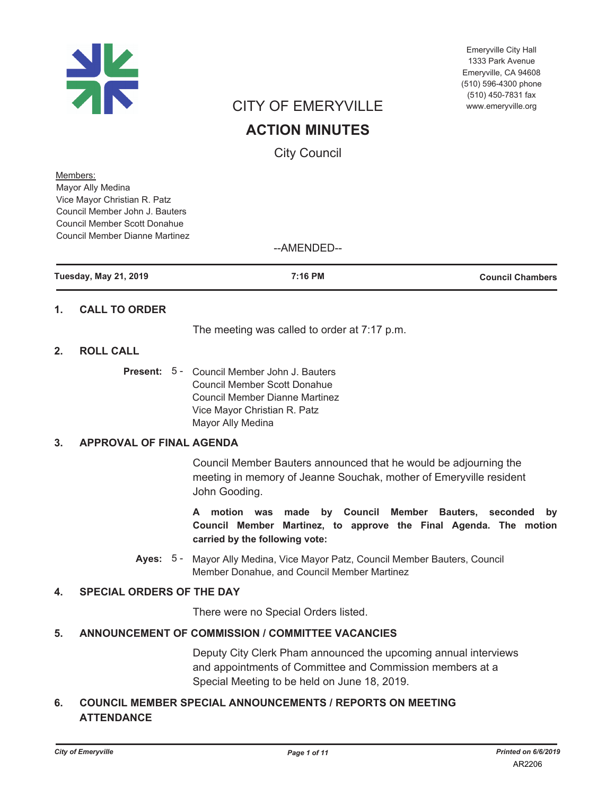

Emeryville City Hall 1333 Park Avenue Emervville, CA 94608 (510) 596-4300 phone (510) 450-7831 fax www.emeryville.org

# **CITY OF EMERYVILLE**

# **ACTION MINUTES**

**City Council** 

Members: Mayor Ally Medina Vice Mayor Christian R. Patz Council Member John J. Bauters Council Member Scott Donahue **Council Member Dianne Martinez** 

### --AMENDED--

| <b>Tuesday, May 21, 2019</b> | 7:16 PM | <b>Council Chambers</b> |
|------------------------------|---------|-------------------------|
|                              |         |                         |

#### **CALL TO ORDER**  $\mathbf 1$ .

The meeting was called to order at 7:17 p.m.

#### **ROLL CALL**  $\mathbf{p}$

**Present:** 5 - Council Member John J. Bauters **Council Member Scott Donahue Council Member Dianne Martinez** Vice Mayor Christian R. Patz Mayor Ally Medina

#### **APPROVAL OF FINAL AGENDA**  $3.$

Council Member Bauters announced that he would be adjourning the meeting in memory of Jeanne Souchak, mother of Emeryville resident John Gooding.

A motion was made by Council Member Bauters, seconded by Council Member Martinez, to approve the Final Agenda. The motion carried by the following vote:

Ayes: 5 - Mayor Ally Medina, Vice Mayor Patz, Council Member Bauters, Council Member Donahue, and Council Member Martinez

#### $\overline{\mathbf{4}}$ . **SPECIAL ORDERS OF THE DAY**

There were no Special Orders listed.

#### ANNOUNCEMENT OF COMMISSION / COMMITTEE VACANCIES  $5.$

Deputy City Clerk Pham announced the upcoming annual interviews and appointments of Committee and Commission members at a Special Meeting to be held on June 18, 2019.

#### **COUNCIL MEMBER SPECIAL ANNOUNCEMENTS / REPORTS ON MEETING** 6. **ATTENDANCE**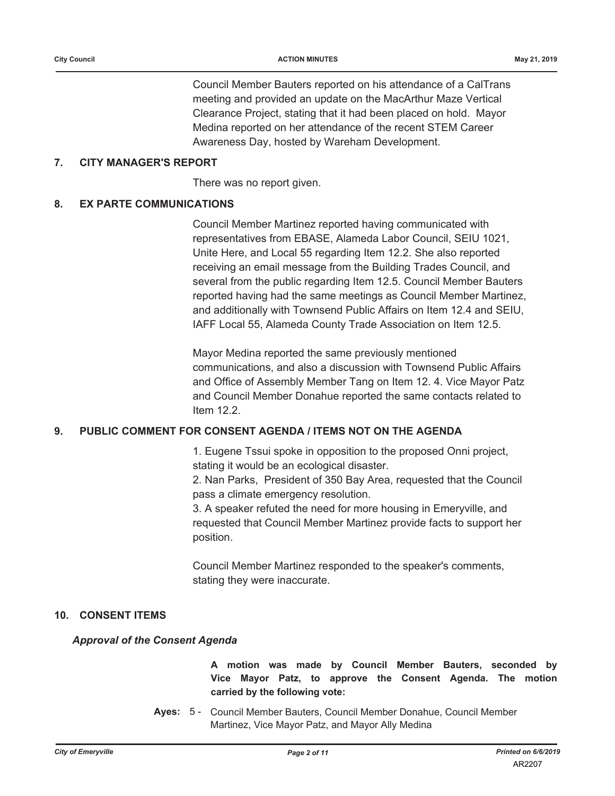Council Member Bauters reported on his attendance of a CalTrans meeting and provided an update on the MacArthur Maze Vertical Clearance Project, stating that it had been placed on hold. Mayor Medina reported on her attendance of the recent STEM Career Awareness Day, hosted by Wareham Development.

#### $7<sub>1</sub>$ **CITY MANAGER'S REPORT**

There was no report given.

#### 8. **EX PARTE COMMUNICATIONS**

Council Member Martinez reported having communicated with representatives from EBASE, Alameda Labor Council, SEIU 1021, Unite Here, and Local 55 regarding Item 12.2. She also reported receiving an email message from the Building Trades Council, and several from the public regarding Item 12.5. Council Member Bauters reported having had the same meetings as Council Member Martinez. and additionally with Townsend Public Affairs on Item 12.4 and SEIU, IAFF Local 55, Alameda County Trade Association on Item 12.5.

Mayor Medina reported the same previously mentioned communications, and also a discussion with Townsend Public Affairs and Office of Assembly Member Tang on Item 12. 4. Vice Mayor Patz and Council Member Donahue reported the same contacts related to Item  $122$ 

#### PUBLIC COMMENT FOR CONSENT AGENDA / ITEMS NOT ON THE AGENDA 9.

1. Eugene Tssui spoke in opposition to the proposed Onni project, stating it would be an ecological disaster.

2. Nan Parks, President of 350 Bay Area, requested that the Council pass a climate emergency resolution.

3. A speaker refuted the need for more housing in Emeryville, and requested that Council Member Martinez provide facts to support her position.

Council Member Martinez responded to the speaker's comments, stating they were inaccurate.

### 10. CONSENT ITEMS

### **Approval of the Consent Agenda**

A motion was made by Council Member Bauters, seconded by Vice Mayor Patz, to approve the Consent Agenda. The motion carried by the following vote:

Ayes: 5 - Council Member Bauters, Council Member Donahue, Council Member Martinez, Vice Mayor Patz, and Mayor Ally Medina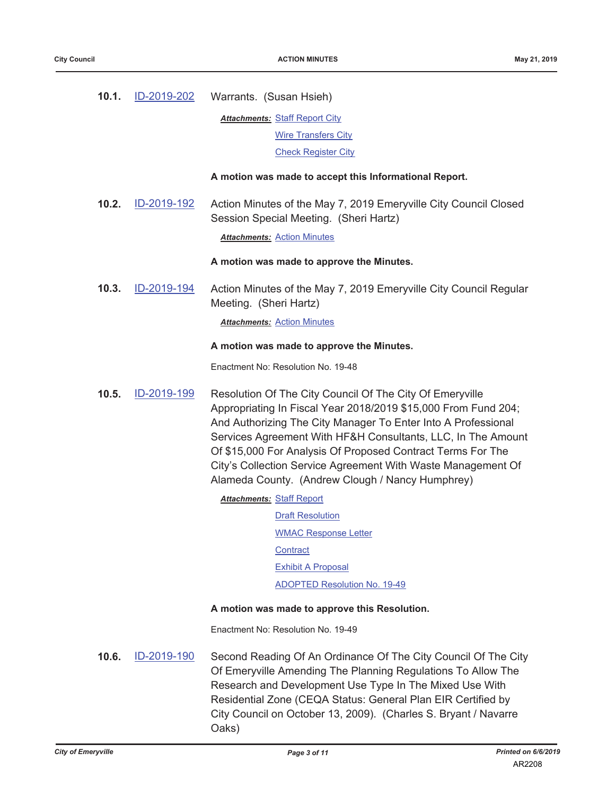| 10.1. | <u>ID-2019-202</u> | Warrants. (Susan Hsieh)                                                                                                                                                                                                                                                                                                                                                                                                                        |
|-------|--------------------|------------------------------------------------------------------------------------------------------------------------------------------------------------------------------------------------------------------------------------------------------------------------------------------------------------------------------------------------------------------------------------------------------------------------------------------------|
|       |                    | <b>Attachments: Staff Report City</b>                                                                                                                                                                                                                                                                                                                                                                                                          |
|       |                    | <b>Wire Transfers City</b>                                                                                                                                                                                                                                                                                                                                                                                                                     |
|       |                    | <b>Check Register City</b>                                                                                                                                                                                                                                                                                                                                                                                                                     |
|       |                    | A motion was made to accept this Informational Report.                                                                                                                                                                                                                                                                                                                                                                                         |
| 10.2. | ID-2019-192        | Action Minutes of the May 7, 2019 Emeryville City Council Closed<br>Session Special Meeting. (Sheri Hartz)                                                                                                                                                                                                                                                                                                                                     |
|       |                    | <b>Attachments: Action Minutes</b>                                                                                                                                                                                                                                                                                                                                                                                                             |
|       |                    | A motion was made to approve the Minutes.                                                                                                                                                                                                                                                                                                                                                                                                      |
| 10.3. | ID-2019-194        | Action Minutes of the May 7, 2019 Emeryville City Council Regular<br>Meeting. (Sheri Hartz)                                                                                                                                                                                                                                                                                                                                                    |
|       |                    | <b>Attachments: Action Minutes</b>                                                                                                                                                                                                                                                                                                                                                                                                             |
|       |                    | A motion was made to approve the Minutes.                                                                                                                                                                                                                                                                                                                                                                                                      |
|       |                    | Enactment No: Resolution No. 19-48                                                                                                                                                                                                                                                                                                                                                                                                             |
| 10.5. | ID-2019-199        | Resolution Of The City Council Of The City Of Emeryville<br>Appropriating In Fiscal Year 2018/2019 \$15,000 From Fund 204;<br>And Authorizing The City Manager To Enter Into A Professional<br>Services Agreement With HF&H Consultants, LLC, In The Amount<br>Of \$15,000 For Analysis Of Proposed Contract Terms For The<br>City's Collection Service Agreement With Waste Management Of<br>Alameda County. (Andrew Clough / Nancy Humphrey) |
|       |                    | <b>Attachments: Staff Report</b>                                                                                                                                                                                                                                                                                                                                                                                                               |
|       |                    | <b>Draft Resolution</b>                                                                                                                                                                                                                                                                                                                                                                                                                        |
|       |                    | <b>WMAC Response Letter</b>                                                                                                                                                                                                                                                                                                                                                                                                                    |
|       |                    | <b>Contract</b>                                                                                                                                                                                                                                                                                                                                                                                                                                |
|       |                    | <b>Exhibit A Proposal</b>                                                                                                                                                                                                                                                                                                                                                                                                                      |
|       |                    | <b>ADOPTED Resolution No. 19-49</b>                                                                                                                                                                                                                                                                                                                                                                                                            |
|       |                    | A motion was made to approve this Resolution.                                                                                                                                                                                                                                                                                                                                                                                                  |
|       |                    | Enactment No: Resolution No. 19-49                                                                                                                                                                                                                                                                                                                                                                                                             |
| 10.6. | ID-2019-190        | Second Reading Of An Ordinance Of The City Council Of The City<br>Of Emeryville Amending The Planning Regulations To Allow The<br>Research and Development Use Type In The Mixed Use With<br>Residential Zone (CEQA Status: General Plan EIR Certified by<br>City Council on October 13, 2009). (Charles S. Bryant / Navarre<br>Oaks)                                                                                                          |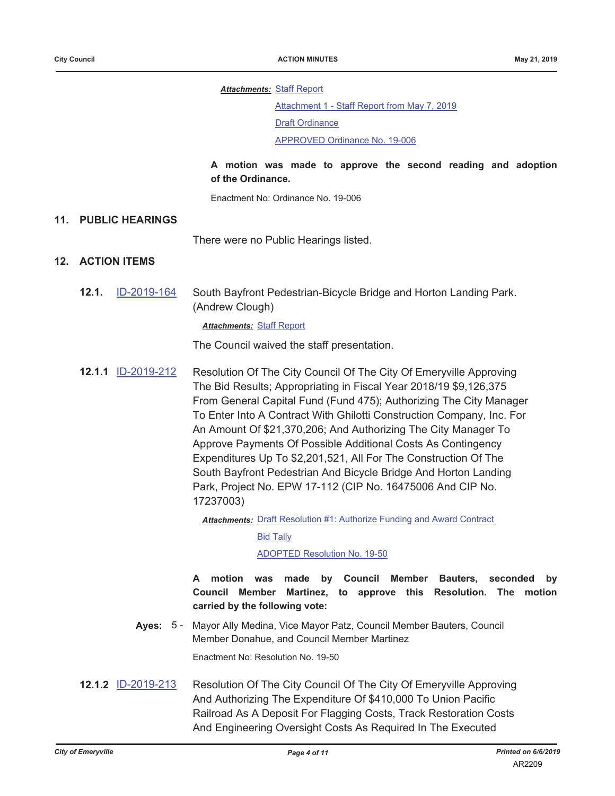#### **Attachments: Staff Report**

Attachment 1 - Staff Report from May 7, 2019

**Draft Ordinance** 

APPROVED Ordinance No. 19-006

### A motion was made to approve the second reading and adoption of the Ordinance.

Enactment No: Ordinance No. 19-006

#### 11. PUBLIC HEARINGS

There were no Public Hearings listed.

### 12. ACTION ITEMS

ID-2019-164  $12.1.$ South Bayfront Pedestrian-Bicycle Bridge and Horton Landing Park. (Andrew Clough)

#### **Attachments: Staff Report**

The Council waived the staff presentation.

12.1.1 ID-2019-212 Resolution Of The City Council Of The City Of Emeryville Approving The Bid Results; Appropriating in Fiscal Year 2018/19 \$9,126,375 From General Capital Fund (Fund 475); Authorizing The City Manager To Enter Into A Contract With Ghilotti Construction Company, Inc. For An Amount Of \$21,370,206; And Authorizing The City Manager To Approve Payments Of Possible Additional Costs As Contingency Expenditures Up To \$2,201,521, All For The Construction Of The South Bayfront Pedestrian And Bicycle Bridge And Horton Landing Park, Project No. EPW 17-112 (CIP No. 16475006 And CIP No. 17237003)

**Attachments: Draft Resolution #1: Authorize Funding and Award Contract** 

**Bid Tally** 

#### **ADOPTED Resolution No. 19-50**

A motion was made by Council Member Bauters, seconded bv Council Member Martinez, to approve this Resolution. The motion carried by the following vote:

Ayes: 5 - Mayor Ally Medina, Vice Mayor Patz, Council Member Bauters, Council Member Donahue, and Council Member Martinez

Enactment No: Resolution No. 19-50

12.1.2 ID-2019-213 Resolution Of The City Council Of The City Of Emeryville Approving And Authorizing The Expenditure Of \$410,000 To Union Pacific Railroad As A Deposit For Flagging Costs, Track Restoration Costs And Engineering Oversight Costs As Required In The Executed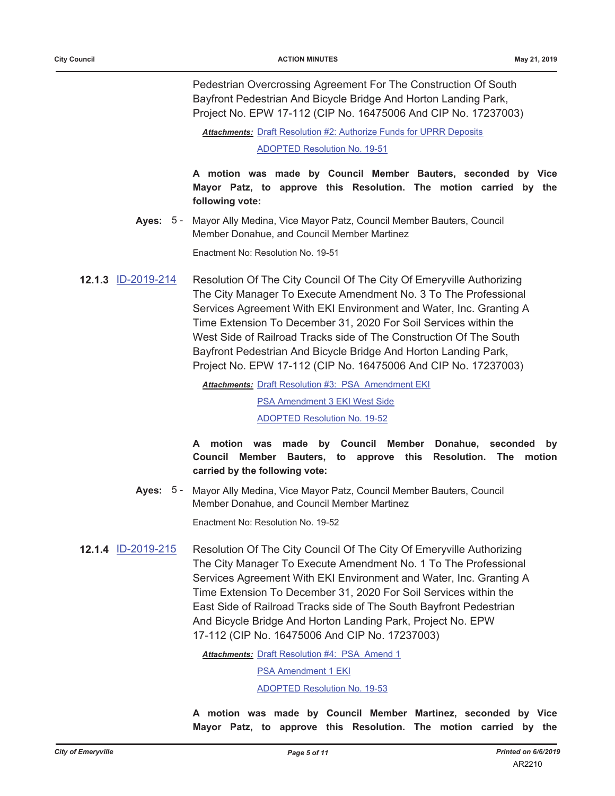Pedestrian Overcrossing Agreement For The Construction Of South Bayfront Pedestrian And Bicycle Bridge And Horton Landing Park, Project No. EPW 17-112 (CIP No. 16475006 And CIP No. 17237003)

Attachments: Draft Resolution #2: Authorize Funds for UPRR Deposits

**ADOPTED Resolution No. 19-51** 

A motion was made by Council Member Bauters, seconded by Vice Mayor Patz, to approve this Resolution. The motion carried by the following vote:

Ayes: 5 - Mayor Ally Medina, Vice Mayor Patz, Council Member Bauters, Council Member Donahue, and Council Member Martinez

Enactment No: Resolution No. 19-51

12.1.3 ID-2019-214 Resolution Of The City Council Of The City Of Emeryville Authorizing The City Manager To Execute Amendment No. 3 To The Professional Services Agreement With EKI Environment and Water, Inc. Granting A Time Extension To December 31, 2020 For Soil Services within the West Side of Railroad Tracks side of The Construction Of The South Bayfront Pedestrian And Bicycle Bridge And Horton Landing Park, Project No. EPW 17-112 (CIP No. 16475006 And CIP No. 17237003)

Attachments: Draft Resolution #3: PSA Amendment EKI

PSA Amendment 3 EKI West Side

**ADOPTED Resolution No. 19-52** 

A motion was made by Council Member Donahue, seconded by Council Member Bauters, to approve this Resolution. The motion carried by the following vote:

Ayes: 5 - Mayor Ally Medina, Vice Mayor Patz, Council Member Bauters, Council Member Donahue, and Council Member Martinez

Enactment No: Resolution No. 19-52

**12.1.4 ID-2019-215** Resolution Of The City Council Of The City Of Emeryville Authorizing The City Manager To Execute Amendment No. 1 To The Professional Services Agreement With EKI Environment and Water, Inc. Granting A Time Extension To December 31, 2020 For Soil Services within the East Side of Railroad Tracks side of The South Bayfront Pedestrian And Bicycle Bridge And Horton Landing Park, Project No. EPW 17-112 (CIP No. 16475006 And CIP No. 17237003)

Attachments: Draft Resolution #4: PSA Amend 1

PSA Amendment 1 EKI

**ADOPTED Resolution No. 19-53** 

A motion was made by Council Member Martinez, seconded by Vice Mayor Patz, to approve this Resolution. The motion carried by the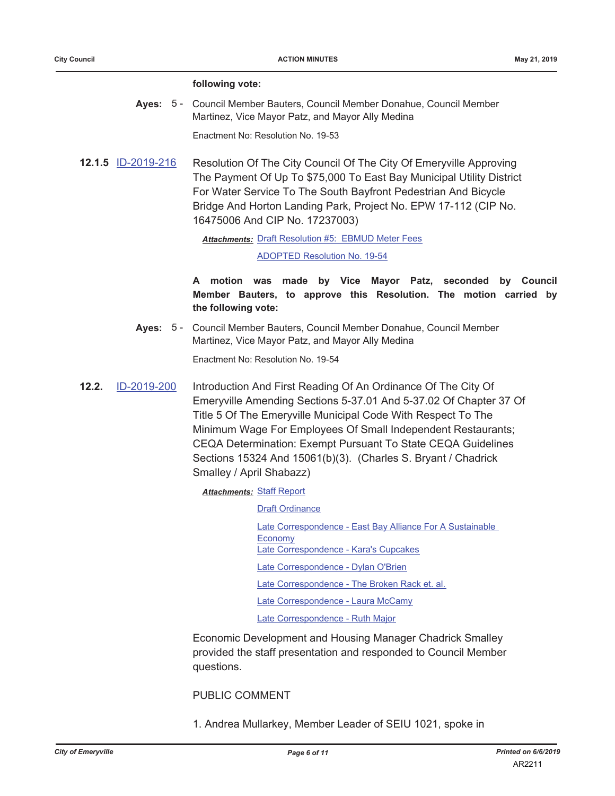#### following vote:

Ayes: 5 - Council Member Bauters, Council Member Donahue, Council Member Martinez, Vice Mayor Patz, and Mayor Ally Medina

Enactment No: Resolution No. 19-53

12.1.5 ID-2019-216 Resolution Of The City Council Of The City Of Emeryville Approving The Payment Of Up To \$75,000 To East Bay Municipal Utility District For Water Service To The South Bayfront Pedestrian And Bicycle Bridge And Horton Landing Park, Project No. EPW 17-112 (CIP No. 16475006 And CIP No. 17237003)

Attachments: Draft Resolution #5: EBMUD Meter Fees

**ADOPTED Resolution No. 19-54** 

A motion was made by Vice Mayor Patz, seconded by Council Member Bauters, to approve this Resolution. The motion carried by the following vote:

Ayes: 5 - Council Member Bauters, Council Member Donahue, Council Member Martinez, Vice Mayor Patz, and Mayor Ally Medina

Enactment No: Resolution No. 19-54

 $12.2.$ ID-2019-200 Introduction And First Reading Of An Ordinance Of The City Of Emeryville Amending Sections 5-37.01 And 5-37.02 Of Chapter 37 Of Title 5 Of The Emeryville Municipal Code With Respect To The Minimum Wage For Employees Of Small Independent Restaurants; CEQA Determination: Exempt Pursuant To State CEQA Guidelines Sections 15324 And 15061(b)(3). (Charles S. Bryant / Chadrick Smalley / April Shabazz)

**Attachments: Staff Report** 

**Draft Ordinance** Late Correspondence - East Bay Alliance For A Sustainable Economy Late Correspondence - Kara's Cupcakes Late Correspondence - Dylan O'Brien Late Correspondence - The Broken Rack et. al. Late Correspondence - Laura McCamy Late Correspondence - Ruth Major

Economic Development and Housing Manager Chadrick Smalley provided the staff presentation and responded to Council Member questions.

**PUBLIC COMMENT** 

1. Andrea Mullarkey, Member Leader of SEIU 1021, spoke in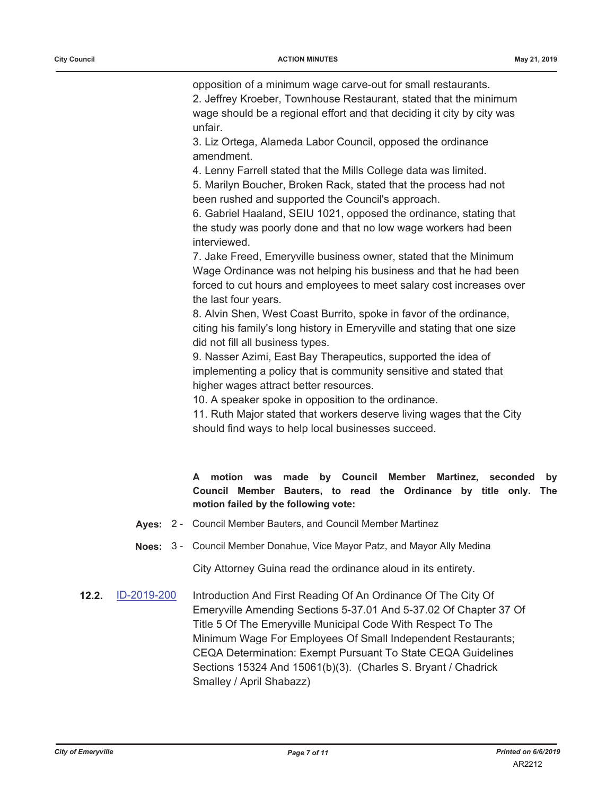opposition of a minimum wage carve-out for small restaurants. 2. Jeffrey Kroeber, Townhouse Restaurant, stated that the minimum wage should be a regional effort and that deciding it city by city was unfair.

3. Liz Ortega, Alameda Labor Council, opposed the ordinance amendment.

4. Lenny Farrell stated that the Mills College data was limited.

5. Marilyn Boucher, Broken Rack, stated that the process had not been rushed and supported the Council's approach.

6. Gabriel Haaland, SEIU 1021, opposed the ordinance, stating that the study was poorly done and that no low wage workers had been interviewed.

7. Jake Freed, Emeryville business owner, stated that the Minimum Wage Ordinance was not helping his business and that he had been forced to cut hours and employees to meet salary cost increases over the last four years.

8. Alvin Shen, West Coast Burrito, spoke in favor of the ordinance, citing his family's long history in Emeryville and stating that one size did not fill all business types.

9. Nasser Azimi, East Bay Therapeutics, supported the idea of implementing a policy that is community sensitive and stated that higher wages attract better resources.

10. A speaker spoke in opposition to the ordinance.

11. Ruth Major stated that workers deserve living wages that the City should find ways to help local businesses succeed.

A motion was made by Council Member Martinez, seconded by Council Member Bauters, to read the Ordinance by title only. The motion failed by the following vote:

- Ayes: 2 Council Member Bauters, and Council Member Martinez
- Noes: 3 Council Member Donahue, Vice Mayor Patz, and Mayor Ally Medina

City Attorney Guina read the ordinance aloud in its entirety.

 $12.2.$ ID-2019-200 Introduction And First Reading Of An Ordinance Of The City Of Emeryville Amending Sections 5-37.01 And 5-37.02 Of Chapter 37 Of Title 5 Of The Emeryville Municipal Code With Respect To The Minimum Wage For Employees Of Small Independent Restaurants; CEQA Determination: Exempt Pursuant To State CEQA Guidelines Sections 15324 And 15061(b)(3). (Charles S. Bryant / Chadrick Smalley / April Shabazz)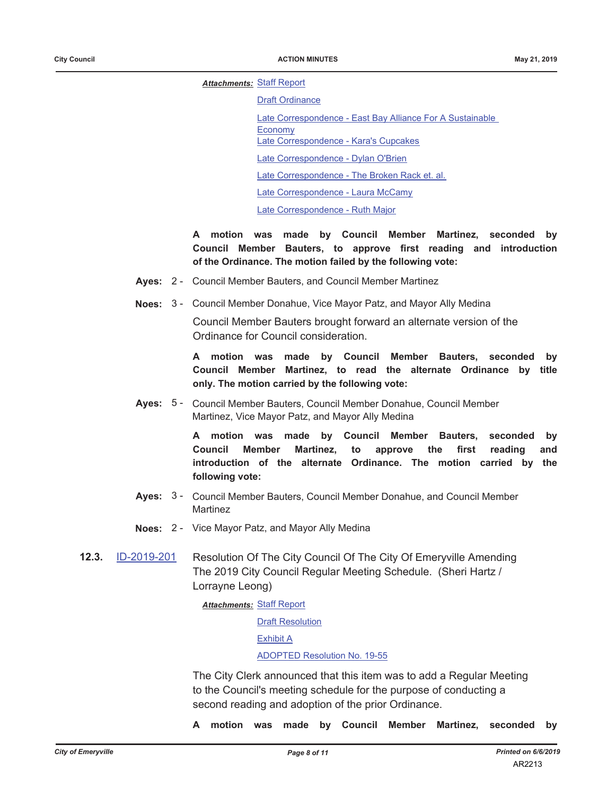**Attachments: Staff Report** 

**Draft Ordinance** 

Late Correspondence - East Bay Alliance For A Sustainable

Economy Late Correspondence - Kara's Cupcakes

Late Correspondence - Dylan O'Brien

Late Correspondence - The Broken Rack et. al.

Late Correspondence - Laura McCamy

Late Correspondence - Ruth Major

A motion was made by Council Member Martinez, seconded by Council Member Bauters, to approve first reading and introduction of the Ordinance. The motion failed by the following vote:

- Ayes: 2 Council Member Bauters, and Council Member Martinez
- Noes: 3 Council Member Donahue, Vice Mayor Patz, and Mayor Ally Medina

Council Member Bauters brought forward an alternate version of the Ordinance for Council consideration.

A motion was made by Council Member Bauters, seconded bv Council Member Martinez, to read the alternate Ordinance by title only. The motion carried by the following vote:

Ayes: 5 - Council Member Bauters, Council Member Donahue, Council Member Martinez, Vice Mayor Patz, and Mayor Ally Medina

> A motion was made by Council Member Bauters, seconded by **Council** Member Martinez, the first reading to approve and introduction of the alternate Ordinance. The motion carried by the following vote:

- Ayes: 3 Council Member Bauters, Council Member Donahue, and Council Member Martinez
- Noes: 2 Vice Mayor Patz, and Mayor Ally Medina
- $12.3.$ ID-2019-201 Resolution Of The City Council Of The City Of Emeryville Amending The 2019 City Council Regular Meeting Schedule. (Sheri Hartz / Lorrayne Leong)

**Attachments: Staff Report** 

**Draft Resolution** 

**Exhibit A** 

#### **ADOPTED Resolution No. 19-55**

The City Clerk announced that this item was to add a Regular Meeting to the Council's meeting schedule for the purpose of conducting a second reading and adoption of the prior Ordinance.

A motion was made by Council Member Martinez, seconded by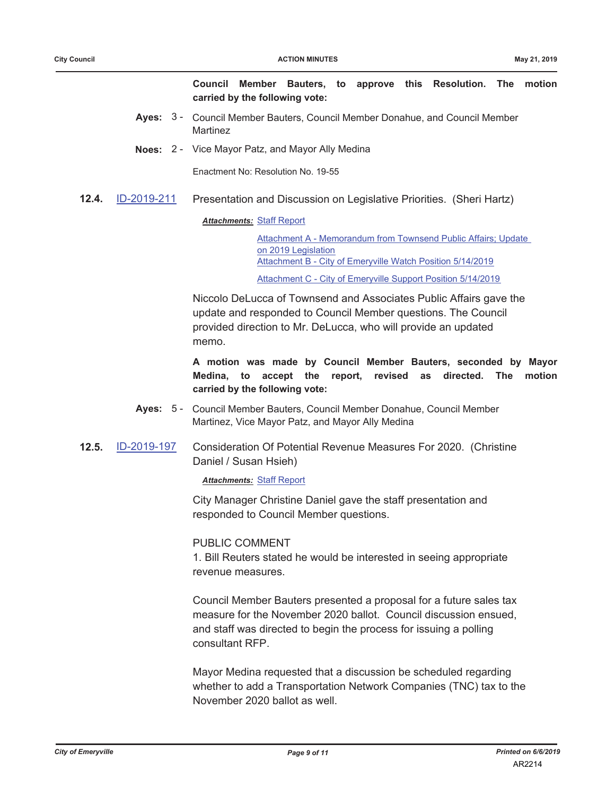Council Member Bauters, to approve this Resolution. The motion carried by the following vote:

- Ayes: 3 Council Member Bauters, Council Member Donahue, and Council Member Martinez
- Noes: 2 Vice Mayor Patz, and Mayor Ally Medina

Enactment No: Resolution No. 19-55

ID-2019-211  $12.4.$ Presentation and Discussion on Legislative Priorities. (Sheri Hartz)

### **Attachments: Staff Report**

Attachment A - Memorandum from Townsend Public Affairs; Update on 2019 Legislation Attachment B - City of Emeryville Watch Position 5/14/2019

Attachment C - City of Emeryville Support Position 5/14/2019

Niccolo DeLucca of Townsend and Associates Public Affairs gave the update and responded to Council Member questions. The Council provided direction to Mr. DeLucca, who will provide an updated memo.

A motion was made by Council Member Bauters, seconded by Mayor Medina, to accept the report, revised as directed. The motion carried by the following vote:

- Ayes: 5 Council Member Bauters, Council Member Donahue, Council Member Martinez, Vice Mayor Patz, and Mayor Ally Medina
- $12.5.$ ID-2019-197 Consideration Of Potential Revenue Measures For 2020. (Christine Daniel / Susan Hsieh)

**Attachments: Staff Report** 

City Manager Christine Daniel gave the staff presentation and responded to Council Member questions.

### **PUBLIC COMMENT**

1. Bill Reuters stated he would be interested in seeing appropriate revenue measures

Council Member Bauters presented a proposal for a future sales tax measure for the November 2020 ballot. Council discussion ensued, and staff was directed to begin the process for issuing a polling consultant RFP.

Mayor Medina requested that a discussion be scheduled regarding whether to add a Transportation Network Companies (TNC) tax to the November 2020 ballot as well.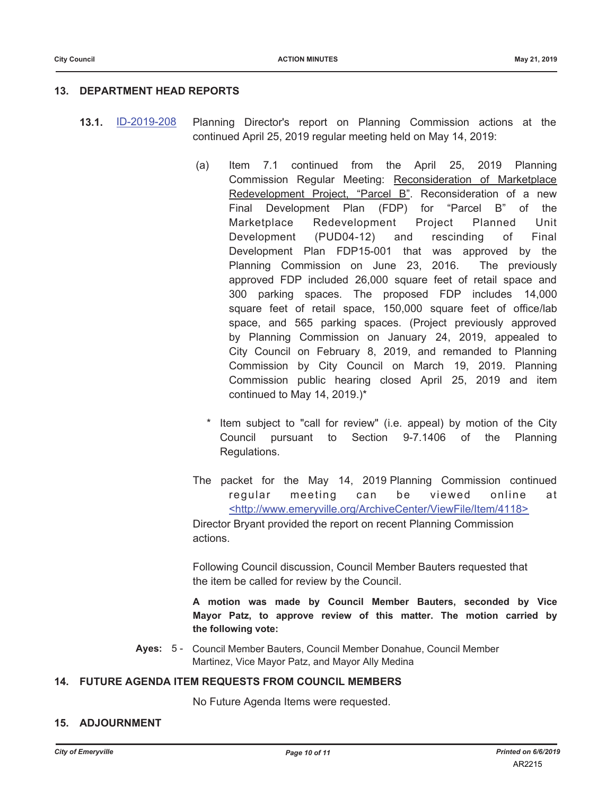### 13. DEPARTMENT HEAD REPORTS

- ID-2019-208  $13.1.$ Planning Director's report on Planning Commission actions at the continued April 25, 2019 regular meeting held on May 14, 2019:
	- Item 7.1 continued from the April 25, 2019 Planning  $(a)$ Commission Regular Meeting: Reconsideration of Marketplace Redevelopment Project, "Parcel B". Reconsideration of a new Development Plan (FDP) for "Parcel B" of the Final Marketplace Redevelopment Project Planned Unit (PUD04-12) Development and rescinding of Final Development Plan FDP15-001 that was approved by the Planning Commission on June 23, 2016. The previously approved FDP included 26,000 square feet of retail space and 300 parking spaces. The proposed FDP includes 14,000 square feet of retail space, 150,000 square feet of office/lab space, and 565 parking spaces. (Project previously approved by Planning Commission on January 24, 2019, appealed to City Council on February 8, 2019, and remanded to Planning Commission by City Council on March 19, 2019. Planning Commission public hearing closed April 25, 2019 and item continued to May 14, 2019.)\*
		- Item subject to "call for review" (i.e. appeal) by motion of the City Council pursuant Section 9-7.1406 of the Planning to Regulations.
	- The packet for the May 14, 2019 Planning Commission continued can regular meeting be viewed online at <http://www.emeryville.org/ArchiveCenter/ViewFile/Item/4118>

Director Bryant provided the report on recent Planning Commission actions.

Following Council discussion, Council Member Bauters requested that the item be called for review by the Council.

A motion was made by Council Member Bauters, seconded by Vice Mayor Patz, to approve review of this matter. The motion carried by the following vote:

Ayes: 5 - Council Member Bauters, Council Member Donahue, Council Member Martinez, Vice Mayor Patz, and Mayor Ally Medina

### 14. FUTURE AGENDA ITEM REQUESTS FROM COUNCIL MEMBERS

No Future Agenda Items were requested.

#### **15. ADJOURNMENT**